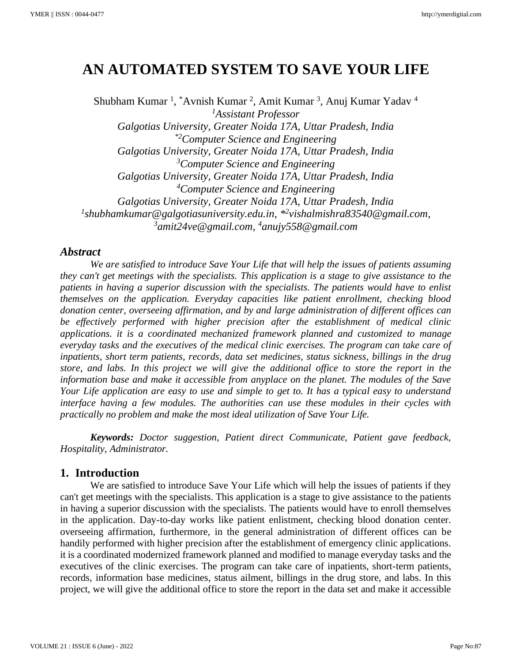# **AN AUTOMATED SYSTEM TO SAVE YOUR LIFE**

Shubham Kumar<sup>1</sup>, \*Avnish Kumar<sup>2</sup>, Amit Kumar<sup>3</sup>, Anuj Kumar Yadav<sup>4</sup> *<sup>1</sup>Assistant Professor Galgotias University, Greater Noida 17A, Uttar Pradesh, India \*2Computer Science and Engineering Galgotias University, Greater Noida 17A, Uttar Pradesh, India <sup>3</sup>Computer Science and Engineering Galgotias University, Greater Noida 17A, Uttar Pradesh, India <sup>4</sup>Computer Science and Engineering Galgotias University, Greater Noida 17A, Uttar Pradesh, India 1 shubhamkumar@galgotiasuniversity.edu.in, \* 2 vishalmishra83540@gmail.com, <sup>3</sup>amit24ve@gmail.com, <sup>4</sup>anujy558@gmail.com*

# *Abstract*

*We are satisfied to introduce Save Your Life that will help the issues of patients assuming they can't get meetings with the specialists. This application is a stage to give assistance to the patients in having a superior discussion with the specialists. The patients would have to enlist themselves on the application. Everyday capacities like patient enrollment, checking blood donation center, overseeing affirmation, and by and large administration of different offices can be effectively performed with higher precision after the establishment of medical clinic applications. it is a coordinated mechanized framework planned and customized to manage everyday tasks and the executives of the medical clinic exercises. The program can take care of inpatients, short term patients, records, data set medicines, status sickness, billings in the drug store, and labs. In this project we will give the additional office to store the report in the information base and make it accessible from anyplace on the planet. The modules of the Save Your Life application are easy to use and simple to get to. It has a typical easy to understand interface having a few modules. The authorities can use these modules in their cycles with practically no problem and make the most ideal utilization of Save Your Life.*

*Keywords: Doctor suggestion, Patient direct Communicate, Patient gave feedback, Hospitality, Administrator.*

## **1. Introduction**

We are satisfied to introduce Save Your Life which will help the issues of patients if they can't get meetings with the specialists. This application is a stage to give assistance to the patients in having a superior discussion with the specialists. The patients would have to enroll themselves in the application. Day-to-day works like patient enlistment, checking blood donation center. overseeing affirmation, furthermore, in the general administration of different offices can be handily performed with higher precision after the establishment of emergency clinic applications. it is a coordinated modernized framework planned and modified to manage everyday tasks and the executives of the clinic exercises. The program can take care of inpatients, short-term patients, records, information base medicines, status ailment, billings in the drug store, and labs. In this project, we will give the additional office to store the report in the data set and make it accessible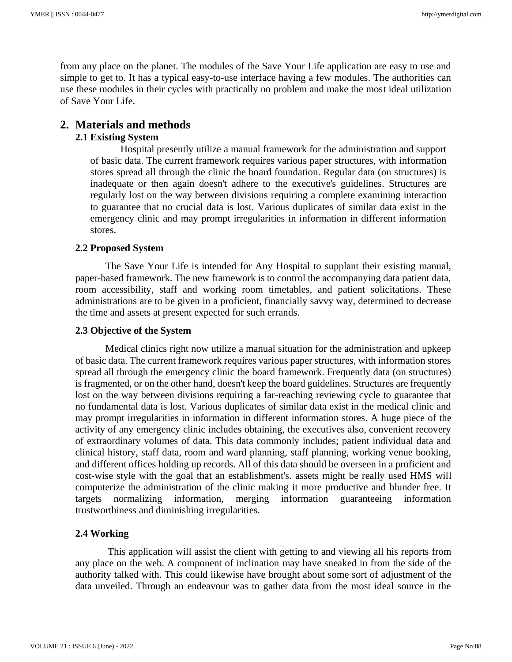from any place on the planet. The modules of the Save Your Life application are easy to use and simple to get to. It has a typical easy-to-use interface having a few modules. The authorities can use these modules in their cycles with practically no problem and make the most ideal utilization of Save Your Life.

# **2. Materials and methods**

# **2.1 Existing System**

Hospital presently utilize a manual framework for the administration and support of basic data. The current framework requires various paper structures, with information stores spread all through the clinic the board foundation. Regular data (on structures) is inadequate or then again doesn't adhere to the executive's guidelines. Structures are regularly lost on the way between divisions requiring a complete examining interaction to guarantee that no crucial data is lost. Various duplicates of similar data exist in the emergency clinic and may prompt irregularities in information in different information stores.

## **2.2 Proposed System**

The Save Your Life is intended for Any Hospital to supplant their existing manual, paper-based framework. The new framework is to control the accompanying data patient data, room accessibility, staff and working room timetables, and patient solicitations. These administrations are to be given in a proficient, financially savvy way, determined to decrease the time and assets at present expected for such errands.

## **2.3 Objective of the System**

Medical clinics right now utilize a manual situation for the administration and upkeep of basic data. The current framework requires various paper structures, with information stores spread all through the emergency clinic the board framework. Frequently data (on structures) is fragmented, or on the other hand, doesn't keep the board guidelines. Structures are frequently lost on the way between divisions requiring a far-reaching reviewing cycle to guarantee that no fundamental data is lost. Various duplicates of similar data exist in the medical clinic and may prompt irregularities in information in different information stores. A huge piece of the activity of any emergency clinic includes obtaining, the executives also, convenient recovery of extraordinary volumes of data. This data commonly includes; patient individual data and clinical history, staff data, room and ward planning, staff planning, working venue booking, and different offices holding up records. All of this data should be overseen in a proficient and cost-wise style with the goal that an establishment's. assets might be really used HMS will computerize the administration of the clinic making it more productive and blunder free. It targets normalizing information, merging information guaranteeing information trustworthiness and diminishing irregularities.

# **2.4 Working**

This application will assist the client with getting to and viewing all his reports from any place on the web. A component of inclination may have sneaked in from the side of the authority talked with. This could likewise have brought about some sort of adjustment of the data unveiled. Through an endeavour was to gather data from the most ideal source in the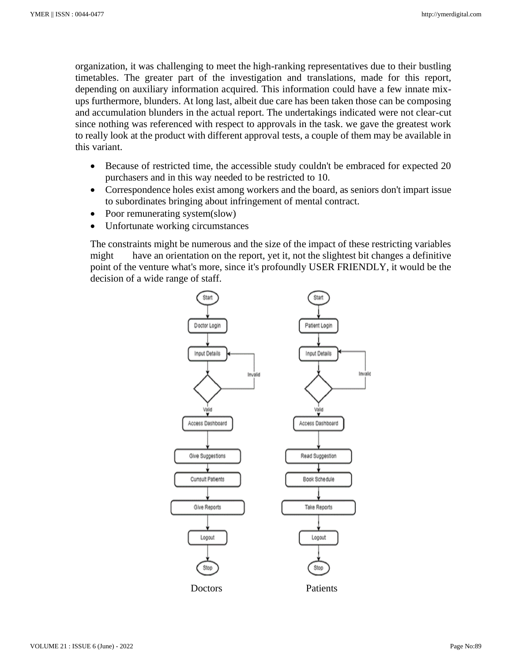organization, it was challenging to meet the high-ranking representatives due to their bustling timetables. The greater part of the investigation and translations, made for this report, depending on auxiliary information acquired. This information could have a few innate mixups furthermore, blunders. At long last, albeit due care has been taken those can be composing and accumulation blunders in the actual report. The undertakings indicated were not clear-cut since nothing was referenced with respect to approvals in the task. we gave the greatest work to really look at the product with different approval tests, a couple of them may be available in this variant.

- Because of restricted time, the accessible study couldn't be embraced for expected 20 purchasers and in this way needed to be restricted to 10.
- Correspondence holes exist among workers and the board, as seniors don't impart issue to subordinates bringing about infringement of mental contract.
- Poor remunerating system(slow)
- Unfortunate working circumstances

The constraints might be numerous and the size of the impact of these restricting variables might have an orientation on the report, yet it, not the slightest bit changes a definitive point of the venture what's more, since it's profoundly USER FRIENDLY, it would be the decision of a wide range of staff.

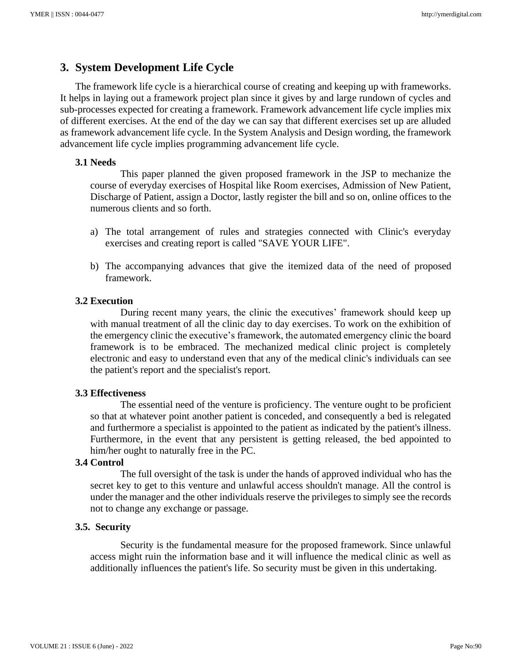# **3. System Development Life Cycle**

The framework life cycle is a hierarchical course of creating and keeping up with frameworks. It helps in laying out a framework project plan since it gives by and large rundown of cycles and sub-processes expected for creating a framework. Framework advancement life cycle implies mix of different exercises. At the end of the day we can say that different exercises set up are alluded as framework advancement life cycle. In the System Analysis and Design wording, the framework advancement life cycle implies programming advancement life cycle.

#### **3.1 Needs**

This paper planned the given proposed framework in the JSP to mechanize the course of everyday exercises of Hospital like Room exercises, Admission of New Patient, Discharge of Patient, assign a Doctor, lastly register the bill and so on, online offices to the numerous clients and so forth.

- a) The total arrangement of rules and strategies connected with Clinic's everyday exercises and creating report is called "SAVE YOUR LIFE".
- b) The accompanying advances that give the itemized data of the need of proposed framework.

#### **3.2 Execution**

During recent many years, the clinic the executives' framework should keep up with manual treatment of all the clinic day to day exercises. To work on the exhibition of the emergency clinic the executive's framework, the automated emergency clinic the board framework is to be embraced. The mechanized medical clinic project is completely electronic and easy to understand even that any of the medical clinic's individuals can see the patient's report and the specialist's report.

#### **3.3 Effectiveness**

The essential need of the venture is proficiency. The venture ought to be proficient so that at whatever point another patient is conceded, and consequently a bed is relegated and furthermore a specialist is appointed to the patient as indicated by the patient's illness. Furthermore, in the event that any persistent is getting released, the bed appointed to him/her ought to naturally free in the PC.

#### **3.4 Control**

The full oversight of the task is under the hands of approved individual who has the secret key to get to this venture and unlawful access shouldn't manage. All the control is under the manager and the other individuals reserve the privileges to simply see the records not to change any exchange or passage.

#### **3.5. Security**

Security is the fundamental measure for the proposed framework. Since unlawful access might ruin the information base and it will influence the medical clinic as well as additionally influences the patient's life. So security must be given in this undertaking.